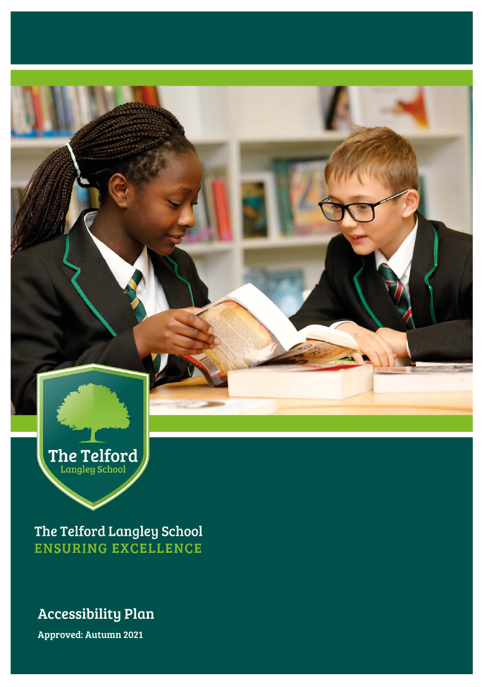

The Telford Langley School **ENSURING EXCELLENCE** 

#### Accessibility Plan

Approved: Autumn 2021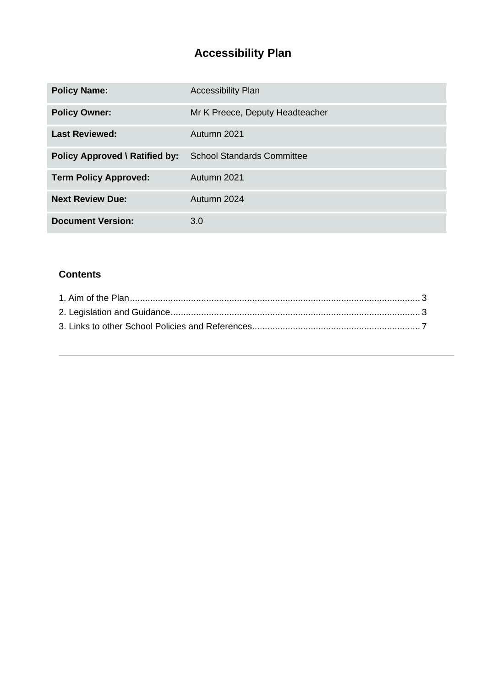# **Accessibility Plan**

| <b>Policy Name:</b>                   | <b>Accessibility Plan</b>         |
|---------------------------------------|-----------------------------------|
| <b>Policy Owner:</b>                  | Mr K Preece, Deputy Headteacher   |
| <b>Last Reviewed:</b>                 | Autumn 2021                       |
| <b>Policy Approved \ Ratified by:</b> | <b>School Standards Committee</b> |
| <b>Term Policy Approved:</b>          | Autumn 2021                       |
| <b>Next Review Due:</b>               | Autumn 2024                       |
| <b>Document Version:</b>              | 3.0                               |

#### **Contents**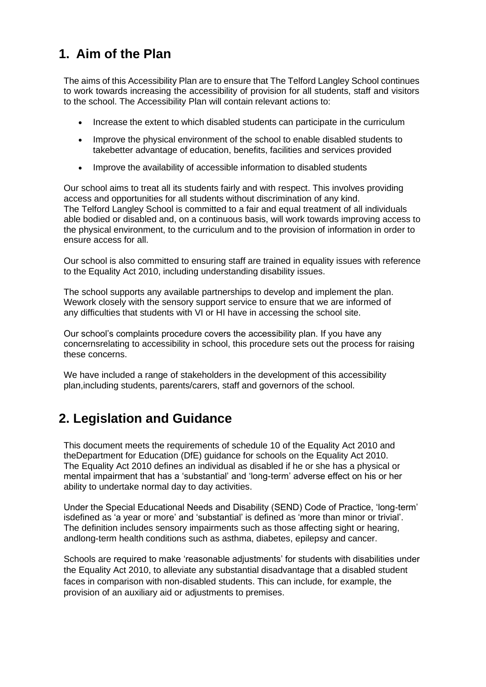### <span id="page-2-0"></span>**1. Aim of the Plan**

The aims of this Accessibility Plan are to ensure that The Telford Langley School continues to work towards increasing the accessibility of provision for all students, staff and visitors to the school. The Accessibility Plan will contain relevant actions to:

- Increase the extent to which disabled students can participate in the curriculum
- Improve the physical environment of the school to enable disabled students to takebetter advantage of education, benefits, facilities and services provided
- Improve the availability of accessible information to disabled students

Our school aims to treat all its students fairly and with respect. This involves providing access and opportunities for all students without discrimination of any kind. The Telford Langley School is committed to a fair and equal treatment of all individuals able bodied or disabled and, on a continuous basis, will work towards improving access to the physical environment, to the curriculum and to the provision of information in order to ensure access for all.

Our school is also committed to ensuring staff are trained in equality issues with reference to the Equality Act 2010, including understanding disability issues.

The school supports any available partnerships to develop and implement the plan. Wework closely with the sensory support service to ensure that we are informed of any difficulties that students with VI or HI have in accessing the school site.

Our school's complaints procedure covers the accessibility plan. If you have any concernsrelating to accessibility in school, this procedure sets out the process for raising these concerns.

We have included a range of stakeholders in the development of this accessibility plan,including students, parents/carers, staff and governors of the school.

### <span id="page-2-1"></span>**2. Legislation and Guidance**

This document meets the requirements of schedule 10 of the Equality Act 2010 and theDepartment for Education (DfE) guidance for schools on the Equality Act 2010. The Equality Act 2010 defines an individual as disabled if he or she has a physical or mental impairment that has a 'substantial' and 'long-term' adverse effect on his or her ability to undertake normal day to day activities.

Under the Special Educational Needs and Disability (SEND) Code of Practice, 'long-term' isdefined as 'a year or more' and 'substantial' is defined as 'more than minor or trivial'. The definition includes sensory impairments such as those affecting sight or hearing, andlong-term health conditions such as asthma, diabetes, epilepsy and cancer.

Schools are required to make 'reasonable adjustments' for students with disabilities under the Equality Act 2010, to alleviate any substantial disadvantage that a disabled student faces in comparison with non-disabled students. This can include, for example, the provision of an auxiliary aid or adjustments to premises.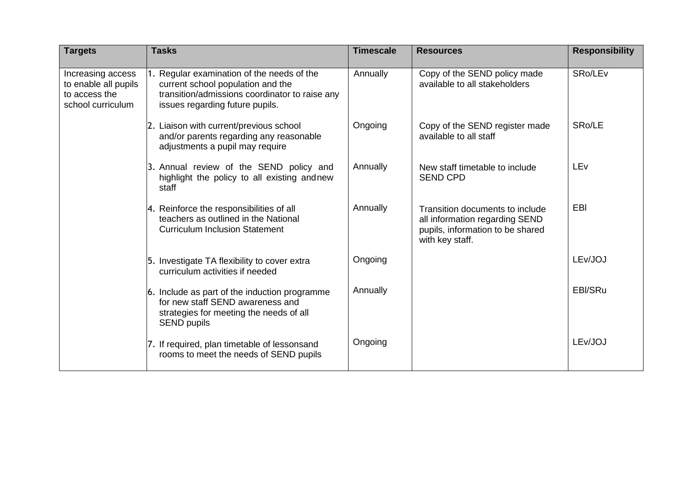| <b>Targets</b>                                                                  | <b>Tasks</b>                                                                                                                                                      | <b>Timescale</b> | <b>Resources</b>                                                                                                         | <b>Responsibility</b> |
|---------------------------------------------------------------------------------|-------------------------------------------------------------------------------------------------------------------------------------------------------------------|------------------|--------------------------------------------------------------------------------------------------------------------------|-----------------------|
| Increasing access<br>to enable all pupils<br>to access the<br>school curriculum | Regular examination of the needs of the<br>current school population and the<br>transition/admissions coordinator to raise any<br>issues regarding future pupils. | Annually         | Copy of the SEND policy made<br>available to all stakeholders                                                            | SRo/LE <sub>v</sub>   |
|                                                                                 | 2. Liaison with current/previous school<br>and/or parents regarding any reasonable<br>adjustments a pupil may require                                             | Ongoing          | Copy of the SEND register made<br>available to all staff                                                                 | SRo/LE                |
|                                                                                 | 3. Annual review of the SEND policy and<br>highlight the policy to all existing and new<br>staff                                                                  | Annually         | New staff timetable to include<br><b>SEND CPD</b>                                                                        | LEv                   |
|                                                                                 | 4. Reinforce the responsibilities of all<br>teachers as outlined in the National<br><b>Curriculum Inclusion Statement</b>                                         | Annually         | Transition documents to include<br>all information regarding SEND<br>pupils, information to be shared<br>with key staff. | EBI                   |
|                                                                                 | 5. Investigate TA flexibility to cover extra<br>curriculum activities if needed                                                                                   | Ongoing          |                                                                                                                          | LEv/JOJ               |
|                                                                                 | 6. Include as part of the induction programme<br>for new staff SEND awareness and<br>strategies for meeting the needs of all<br><b>SEND pupils</b>                | Annually         |                                                                                                                          | EBI/SRu               |
|                                                                                 | 7. If required, plan timetable of lessonsand<br>rooms to meet the needs of SEND pupils                                                                            | Ongoing          |                                                                                                                          | LEv/JOJ               |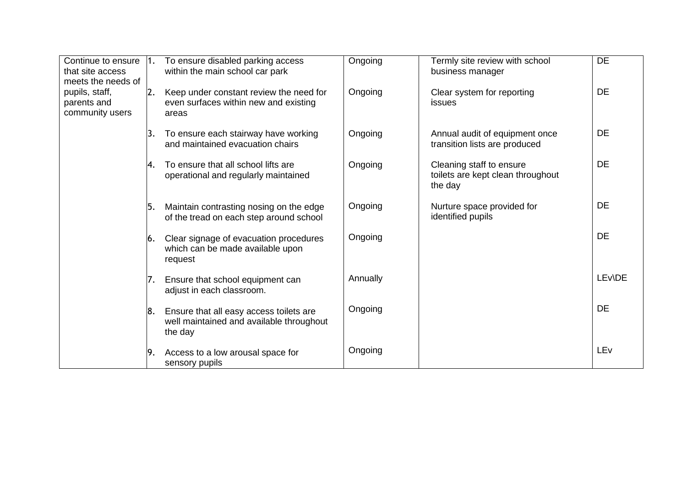| Continue to ensure  1.<br>that site access<br>meets the needs of<br>pupils, staff,<br>parents and<br>community users |     | To ensure disabled parking access<br>within the main school car park                           | Ongoing  | Termly site review with school<br>business manager                       | <b>DE</b>       |
|----------------------------------------------------------------------------------------------------------------------|-----|------------------------------------------------------------------------------------------------|----------|--------------------------------------------------------------------------|-----------------|
|                                                                                                                      | 2.  | Keep under constant review the need for<br>even surfaces within new and existing<br>areas      | Ongoing  | Clear system for reporting<br><b>issues</b>                              | <b>DE</b>       |
|                                                                                                                      | 3.  | To ensure each stairway have working<br>and maintained evacuation chairs                       | Ongoing  | Annual audit of equipment once<br>transition lists are produced          | DE              |
|                                                                                                                      | l4. | To ensure that all school lifts are<br>operational and regularly maintained                    | Ongoing  | Cleaning staff to ensure<br>toilets are kept clean throughout<br>the day | <b>DE</b>       |
|                                                                                                                      | 15. | Maintain contrasting nosing on the edge<br>of the tread on each step around school             | Ongoing  | Nurture space provided for<br>identified pupils                          | DE              |
|                                                                                                                      | 6.  | Clear signage of evacuation procedures<br>which can be made available upon<br>request          | Ongoing  |                                                                          | <b>DE</b>       |
|                                                                                                                      | 7.  | Ensure that school equipment can<br>adjust in each classroom.                                  | Annually |                                                                          | LEv\DE          |
|                                                                                                                      | 8.  | Ensure that all easy access toilets are<br>well maintained and available throughout<br>the day | Ongoing  |                                                                          | DE              |
|                                                                                                                      | 19. | Access to a low arousal space for<br>sensory pupils                                            | Ongoing  |                                                                          | LE <sub>v</sub> |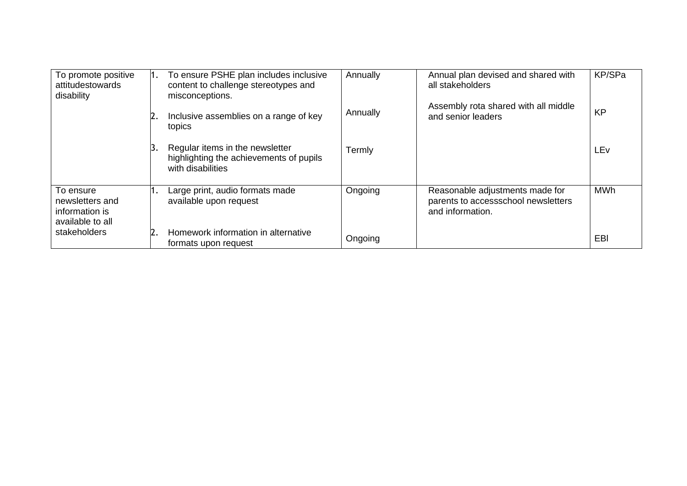| To promote positive<br>attitudestowards<br>disability              |    | To ensure PSHE plan includes inclusive<br>content to challenge stereotypes and<br>misconceptions. | Annually | Annual plan devised and shared with<br>all stakeholders                                    | KP/SPa     |
|--------------------------------------------------------------------|----|---------------------------------------------------------------------------------------------------|----------|--------------------------------------------------------------------------------------------|------------|
|                                                                    |    | Inclusive assemblies on a range of key<br>topics                                                  | Annually | Assembly rota shared with all middle<br>and senior leaders                                 | <b>KP</b>  |
|                                                                    |    | Regular items in the newsletter<br>highlighting the achievements of pupils<br>with disabilities   | Termly   |                                                                                            | LEv        |
| To ensure<br>newsletters and<br>information is<br>available to all |    | Large print, audio formats made<br>available upon request                                         | Ongoing  | Reasonable adjustments made for<br>parents to accessschool newsletters<br>and information. | <b>MWh</b> |
| stakeholders                                                       | 2. | Homework information in alternative<br>formats upon request                                       | Ongoing  |                                                                                            | EBI        |